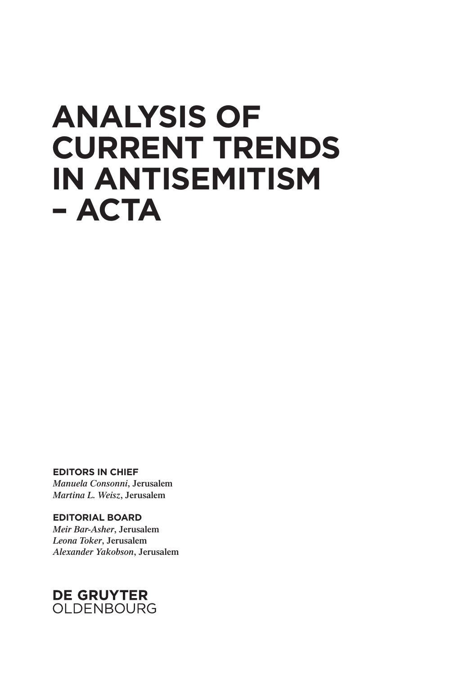## **ANALYSIS OF CURRENT TRENDS IN ANTISEMITISM – ACTA**

**EDITORS IN CHIEF** *Manuela Consonni***, Jerusalem** *Martina L. Weisz***, Jerusalem**

**EDITORIAL BOARD** *Meir Bar-Asher***, Jerusalem**  *Leona Toker***, Jerusalem** *Alexander Yakobson***, Jerusalem**

## **DE GRUYTER** OLDENBOURG